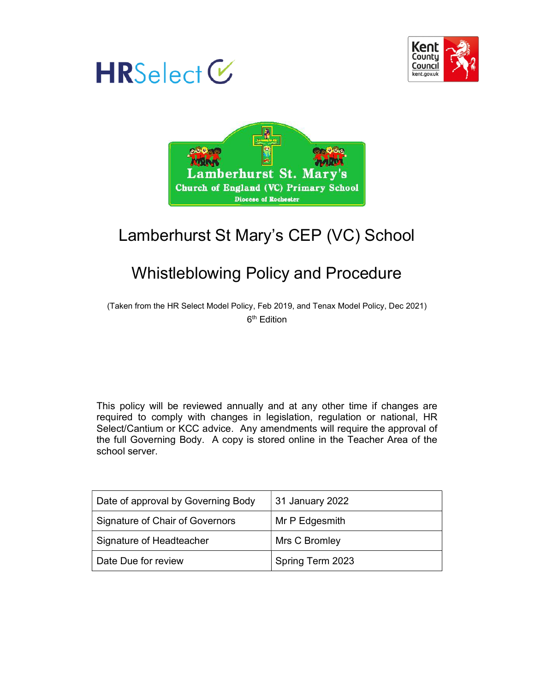





# Lamberhurst St Mary's CEP (VC) School

# Whistleblowing Policy and Procedure

(Taken from the HR Select Model Policy, Feb 2019, and Tenax Model Policy, Dec 2021) 6<sup>th</sup> Edition

This policy will be reviewed annually and at any other time if changes are required to comply with changes in legislation, regulation or national, HR Select/Cantium or KCC advice. Any amendments will require the approval of the full Governing Body. A copy is stored online in the Teacher Area of the school server.

| Date of approval by Governing Body | 31 January 2022  |  |
|------------------------------------|------------------|--|
| Signature of Chair of Governors    | Mr P Edgesmith   |  |
| Signature of Headteacher           | Mrs C Bromley    |  |
| Date Due for review                | Spring Term 2023 |  |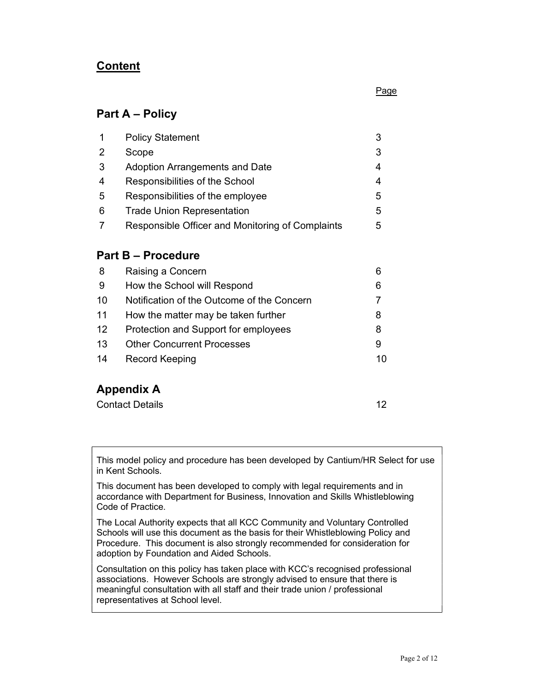# **Content**

#### <u>Page and the contract of the contract of the contract of the contract of the contract of the contract of the con</u>

# Part A – Policy

| 1  | <b>Policy Statement</b>                          |    |  |
|----|--------------------------------------------------|----|--|
| 2  | Scope                                            | 3  |  |
| 3  | <b>Adoption Arrangements and Date</b>            | 4  |  |
| 4  | Responsibilities of the School                   | 4  |  |
| 5  | Responsibilities of the employee                 | 5  |  |
| 6  | <b>Trade Union Representation</b>                | 5  |  |
| 7  | Responsible Officer and Monitoring of Complaints | 5  |  |
|    | <b>Part B – Procedure</b>                        |    |  |
| 8  | Raising a Concern                                | 6  |  |
| 9  | How the School will Respond                      | 6  |  |
| 10 | Notification of the Outcome of the Concern       | 7  |  |
| 11 | How the matter may be taken further              | 8  |  |
| 12 | Protection and Support for employees             | 8  |  |
| 13 | <b>Other Concurrent Processes</b>                | 9  |  |
| 14 | Record Keeping                                   | 10 |  |

# Appendix A

This model policy and procedure has been developed by Cantium/HR Select for use in Kent Schools.

This document has been developed to comply with legal requirements and in accordance with Department for Business, Innovation and Skills Whistleblowing Code of Practice.

The Local Authority expects that all KCC Community and Voluntary Controlled Schools will use this document as the basis for their Whistleblowing Policy and Procedure. This document is also strongly recommended for consideration for adoption by Foundation and Aided Schools.

Consultation on this policy has taken place with KCC's recognised professional associations. However Schools are strongly advised to ensure that there is meaningful consultation with all staff and their trade union / professional representatives at School level.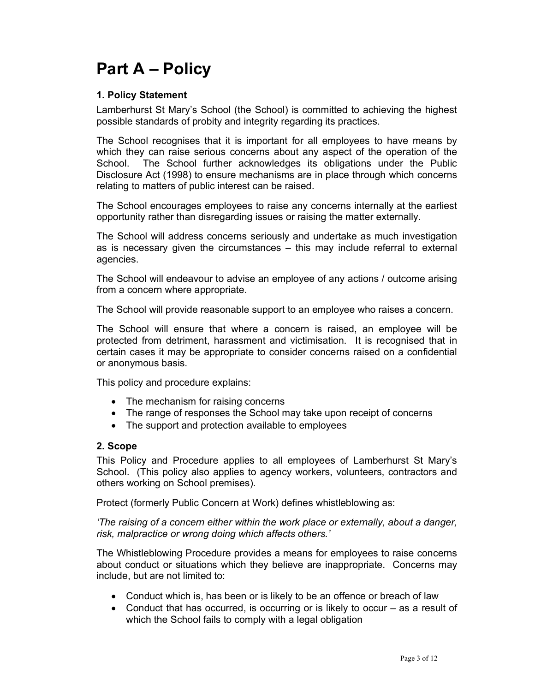# Part A – Policy

# 1. Policy Statement

Lamberhurst St Mary's School (the School) is committed to achieving the highest possible standards of probity and integrity regarding its practices.

The School recognises that it is important for all employees to have means by which they can raise serious concerns about any aspect of the operation of the School. The School further acknowledges its obligations under the Public Disclosure Act (1998) to ensure mechanisms are in place through which concerns relating to matters of public interest can be raised.

The School encourages employees to raise any concerns internally at the earliest opportunity rather than disregarding issues or raising the matter externally.

The School will address concerns seriously and undertake as much investigation as is necessary given the circumstances – this may include referral to external agencies.

The School will endeavour to advise an employee of any actions / outcome arising from a concern where appropriate.

The School will provide reasonable support to an employee who raises a concern.

The School will ensure that where a concern is raised, an employee will be protected from detriment, harassment and victimisation. It is recognised that in certain cases it may be appropriate to consider concerns raised on a confidential or anonymous basis.

This policy and procedure explains:

- The mechanism for raising concerns
- The range of responses the School may take upon receipt of concerns
- The support and protection available to employees

#### 2. Scope

This Policy and Procedure applies to all employees of Lamberhurst St Mary's School. (This policy also applies to agency workers, volunteers, contractors and others working on School premises).

Protect (formerly Public Concern at Work) defines whistleblowing as:

'The raising of a concern either within the work place or externally, about a danger, risk, malpractice or wrong doing which affects others.'

The Whistleblowing Procedure provides a means for employees to raise concerns about conduct or situations which they believe are inappropriate. Concerns may include, but are not limited to:

- Conduct which is, has been or is likely to be an offence or breach of law
- Conduct that has occurred, is occurring or is likely to occur as a result of which the School fails to comply with a legal obligation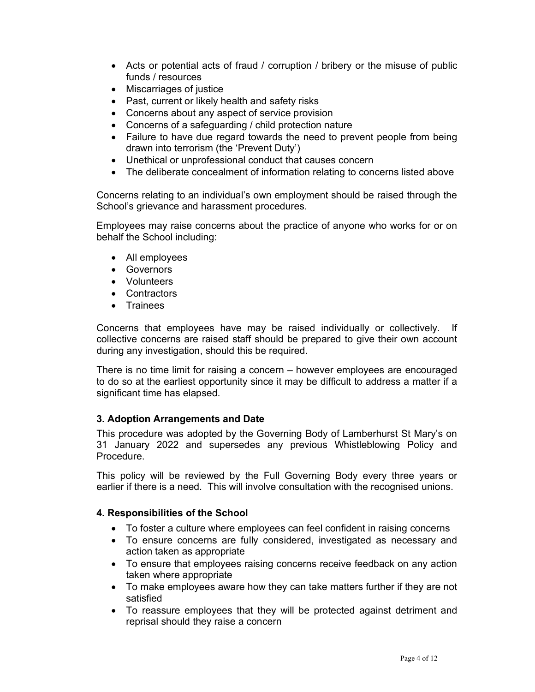- Acts or potential acts of fraud / corruption / bribery or the misuse of public funds / resources
- Miscarriages of justice
- Past, current or likely health and safety risks
- Concerns about any aspect of service provision
- Concerns of a safeguarding / child protection nature
- Failure to have due regard towards the need to prevent people from being drawn into terrorism (the 'Prevent Duty')
- Unethical or unprofessional conduct that causes concern
- The deliberate concealment of information relating to concerns listed above

Concerns relating to an individual's own employment should be raised through the School's grievance and harassment procedures.

Employees may raise concerns about the practice of anyone who works for or on behalf the School including:

- All employees
- Governors
- Volunteers
- Contractors
- **•** Trainees

Concerns that employees have may be raised individually or collectively. If collective concerns are raised staff should be prepared to give their own account during any investigation, should this be required.

There is no time limit for raising a concern – however employees are encouraged to do so at the earliest opportunity since it may be difficult to address a matter if a significant time has elapsed.

## 3. Adoption Arrangements and Date

This procedure was adopted by the Governing Body of Lamberhurst St Mary's on 31 January 2022 and supersedes any previous Whistleblowing Policy and Procedure.

This policy will be reviewed by the Full Governing Body every three years or earlier if there is a need. This will involve consultation with the recognised unions.

## 4. Responsibilities of the School

- To foster a culture where employees can feel confident in raising concerns
- To ensure concerns are fully considered, investigated as necessary and action taken as appropriate
- To ensure that employees raising concerns receive feedback on any action taken where appropriate
- To make employees aware how they can take matters further if they are not satisfied
- To reassure employees that they will be protected against detriment and reprisal should they raise a concern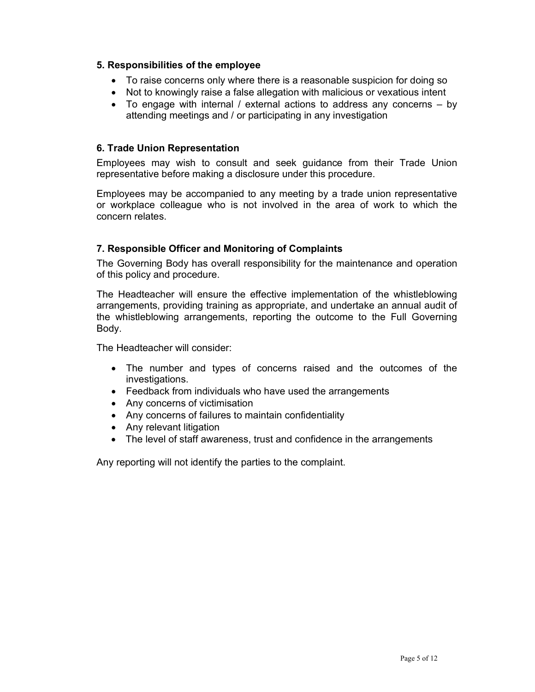## 5. Responsibilities of the employee

- To raise concerns only where there is a reasonable suspicion for doing so
- Not to knowingly raise a false allegation with malicious or vexatious intent
- To engage with internal / external actions to address any concerns by attending meetings and / or participating in any investigation

#### 6. Trade Union Representation

Employees may wish to consult and seek guidance from their Trade Union representative before making a disclosure under this procedure.

Employees may be accompanied to any meeting by a trade union representative or workplace colleague who is not involved in the area of work to which the concern relates.

## 7. Responsible Officer and Monitoring of Complaints

The Governing Body has overall responsibility for the maintenance and operation of this policy and procedure.

The Headteacher will ensure the effective implementation of the whistleblowing arrangements, providing training as appropriate, and undertake an annual audit of the whistleblowing arrangements, reporting the outcome to the Full Governing Body.

The Headteacher will consider:

- The number and types of concerns raised and the outcomes of the investigations.
- Feedback from individuals who have used the arrangements
- Any concerns of victimisation
- Any concerns of failures to maintain confidentiality
- Any relevant litigation
- The level of staff awareness, trust and confidence in the arrangements

Any reporting will not identify the parties to the complaint.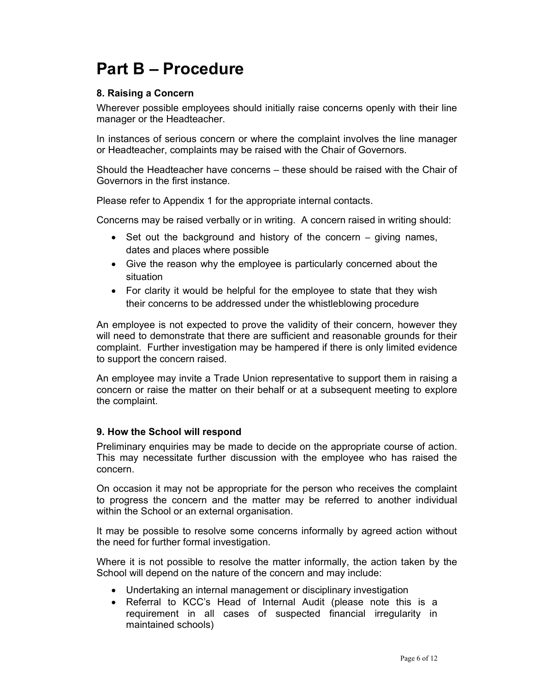# Part B – Procedure

# 8. Raising a Concern

Wherever possible employees should initially raise concerns openly with their line manager or the Headteacher.

In instances of serious concern or where the complaint involves the line manager or Headteacher, complaints may be raised with the Chair of Governors.

Should the Headteacher have concerns – these should be raised with the Chair of Governors in the first instance.

Please refer to Appendix 1 for the appropriate internal contacts.

Concerns may be raised verbally or in writing. A concern raised in writing should:

- $\bullet$  Set out the background and history of the concern giving names, dates and places where possible
- Give the reason why the employee is particularly concerned about the situation
- For clarity it would be helpful for the employee to state that they wish their concerns to be addressed under the whistleblowing procedure

An employee is not expected to prove the validity of their concern, however they will need to demonstrate that there are sufficient and reasonable grounds for their complaint. Further investigation may be hampered if there is only limited evidence to support the concern raised.

An employee may invite a Trade Union representative to support them in raising a concern or raise the matter on their behalf or at a subsequent meeting to explore the complaint.

## 9. How the School will respond

Preliminary enquiries may be made to decide on the appropriate course of action. This may necessitate further discussion with the employee who has raised the concern.

On occasion it may not be appropriate for the person who receives the complaint to progress the concern and the matter may be referred to another individual within the School or an external organisation.

It may be possible to resolve some concerns informally by agreed action without the need for further formal investigation.

Where it is not possible to resolve the matter informally, the action taken by the School will depend on the nature of the concern and may include:

- Undertaking an internal management or disciplinary investigation
- Referral to KCC's Head of Internal Audit (please note this is a requirement in all cases of suspected financial irregularity in maintained schools)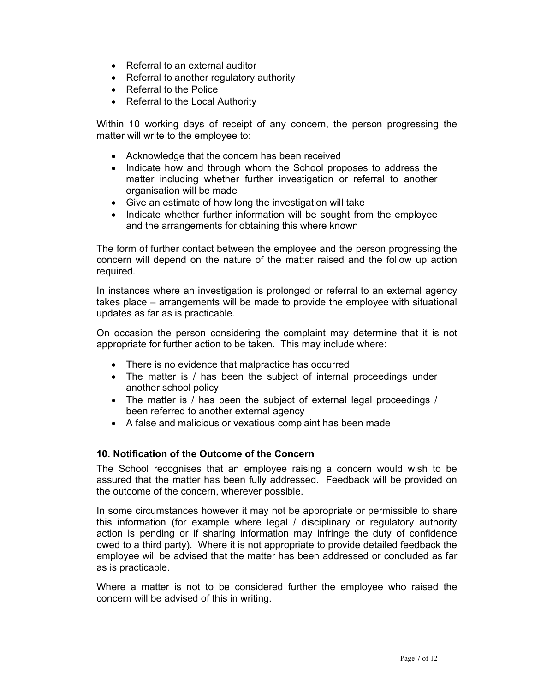- Referral to an external auditor
- Referral to another regulatory authority
- Referral to the Police
- Referral to the Local Authority

Within 10 working days of receipt of any concern, the person progressing the matter will write to the employee to:

- Acknowledge that the concern has been received
- Indicate how and through whom the School proposes to address the matter including whether further investigation or referral to another organisation will be made
- Give an estimate of how long the investigation will take
- Indicate whether further information will be sought from the employee and the arrangements for obtaining this where known

The form of further contact between the employee and the person progressing the concern will depend on the nature of the matter raised and the follow up action required.

In instances where an investigation is prolonged or referral to an external agency takes place – arrangements will be made to provide the employee with situational updates as far as is practicable.

On occasion the person considering the complaint may determine that it is not appropriate for further action to be taken. This may include where:

- There is no evidence that malpractice has occurred
- The matter is / has been the subject of internal proceedings under another school policy
- The matter is / has been the subject of external legal proceedings / been referred to another external agency
- A false and malicious or vexatious complaint has been made

## 10. Notification of the Outcome of the Concern

The School recognises that an employee raising a concern would wish to be assured that the matter has been fully addressed. Feedback will be provided on the outcome of the concern, wherever possible.

In some circumstances however it may not be appropriate or permissible to share this information (for example where legal / disciplinary or regulatory authority action is pending or if sharing information may infringe the duty of confidence owed to a third party). Where it is not appropriate to provide detailed feedback the employee will be advised that the matter has been addressed or concluded as far as is practicable.

Where a matter is not to be considered further the employee who raised the concern will be advised of this in writing.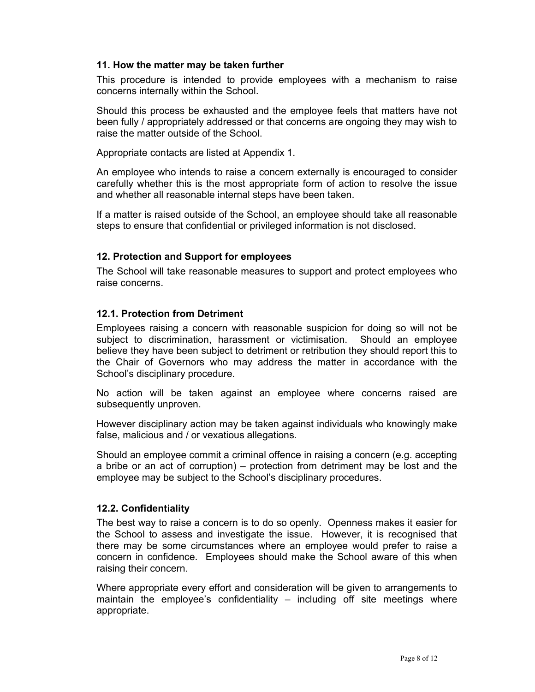## 11. How the matter may be taken further

This procedure is intended to provide employees with a mechanism to raise concerns internally within the School.

Should this process be exhausted and the employee feels that matters have not been fully / appropriately addressed or that concerns are ongoing they may wish to raise the matter outside of the School.

Appropriate contacts are listed at Appendix 1.

An employee who intends to raise a concern externally is encouraged to consider carefully whether this is the most appropriate form of action to resolve the issue and whether all reasonable internal steps have been taken.

If a matter is raised outside of the School, an employee should take all reasonable steps to ensure that confidential or privileged information is not disclosed.

#### 12. Protection and Support for employees

The School will take reasonable measures to support and protect employees who raise concerns.

#### 12.1. Protection from Detriment

Employees raising a concern with reasonable suspicion for doing so will not be subject to discrimination, harassment or victimisation. Should an employee believe they have been subject to detriment or retribution they should report this to the Chair of Governors who may address the matter in accordance with the School's disciplinary procedure.

No action will be taken against an employee where concerns raised are subsequently unproven.

However disciplinary action may be taken against individuals who knowingly make false, malicious and / or vexatious allegations.

Should an employee commit a criminal offence in raising a concern (e.g. accepting a bribe or an act of corruption) – protection from detriment may be lost and the employee may be subject to the School's disciplinary procedures.

#### 12.2. Confidentiality

The best way to raise a concern is to do so openly. Openness makes it easier for the School to assess and investigate the issue. However, it is recognised that there may be some circumstances where an employee would prefer to raise a concern in confidence. Employees should make the School aware of this when raising their concern.

Where appropriate every effort and consideration will be given to arrangements to maintain the employee's confidentiality – including off site meetings where appropriate.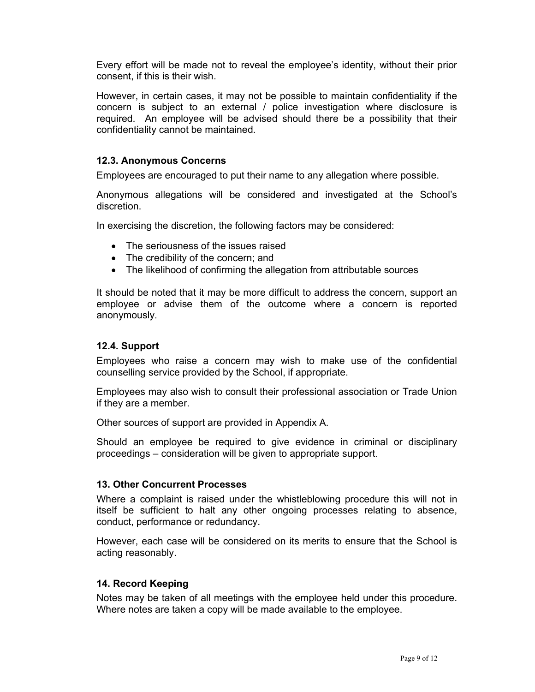Every effort will be made not to reveal the employee's identity, without their prior consent, if this is their wish.

However, in certain cases, it may not be possible to maintain confidentiality if the concern is subject to an external / police investigation where disclosure is required. An employee will be advised should there be a possibility that their confidentiality cannot be maintained.

## 12.3. Anonymous Concerns

Employees are encouraged to put their name to any allegation where possible.

Anonymous allegations will be considered and investigated at the School's discretion.

In exercising the discretion, the following factors may be considered:

- The seriousness of the issues raised
- The credibility of the concern; and
- The likelihood of confirming the allegation from attributable sources

It should be noted that it may be more difficult to address the concern, support an employee or advise them of the outcome where a concern is reported anonymously.

### 12.4. Support

Employees who raise a concern may wish to make use of the confidential counselling service provided by the School, if appropriate.

Employees may also wish to consult their professional association or Trade Union if they are a member.

Other sources of support are provided in Appendix A.

Should an employee be required to give evidence in criminal or disciplinary proceedings – consideration will be given to appropriate support.

#### 13. Other Concurrent Processes

Where a complaint is raised under the whistleblowing procedure this will not in itself be sufficient to halt any other ongoing processes relating to absence, conduct, performance or redundancy.

However, each case will be considered on its merits to ensure that the School is acting reasonably.

#### 14. Record Keeping

Notes may be taken of all meetings with the employee held under this procedure. Where notes are taken a copy will be made available to the employee.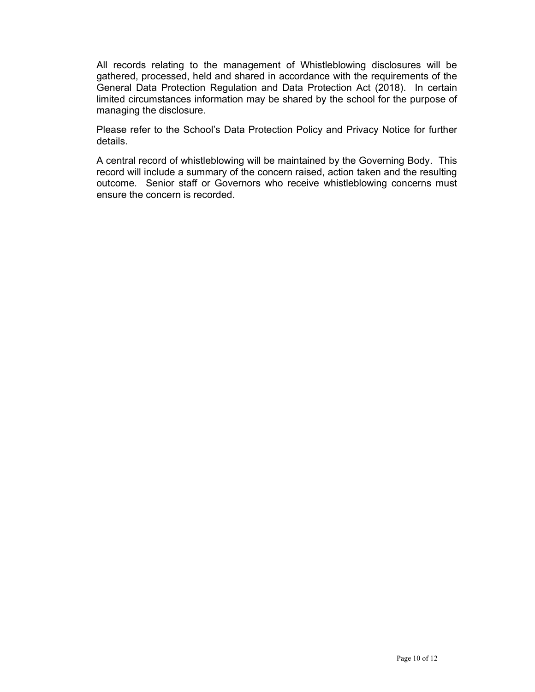All records relating to the management of Whistleblowing disclosures will be gathered, processed, held and shared in accordance with the requirements of the General Data Protection Regulation and Data Protection Act (2018). In certain limited circumstances information may be shared by the school for the purpose of managing the disclosure.

Please refer to the School's Data Protection Policy and Privacy Notice for further details.

A central record of whistleblowing will be maintained by the Governing Body. This record will include a summary of the concern raised, action taken and the resulting outcome. Senior staff or Governors who receive whistleblowing concerns must ensure the concern is recorded.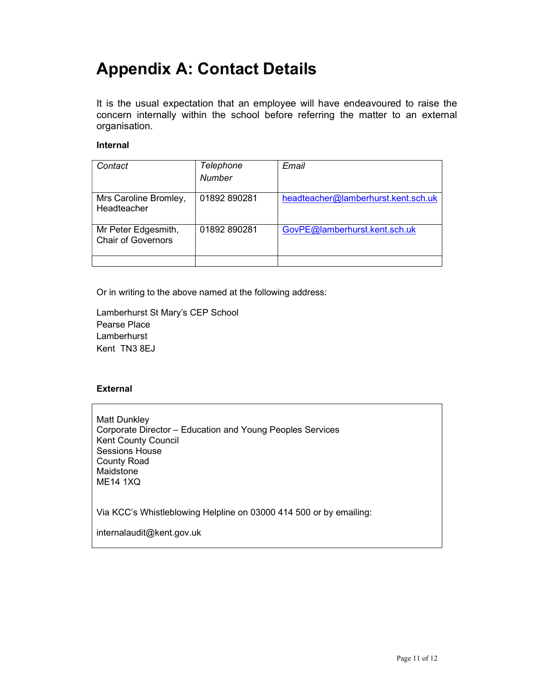# Appendix A: Contact Details

It is the usual expectation that an employee will have endeavoured to raise the concern internally within the school before referring the matter to an external organisation.

### Internal

| Contact                                          | Telephone<br><b>Number</b> | Email                               |
|--------------------------------------------------|----------------------------|-------------------------------------|
| Mrs Caroline Bromley,<br>Headteacher             | 01892 890281               | headteacher@lamberhurst.kent.sch.uk |
| Mr Peter Edgesmith,<br><b>Chair of Governors</b> | 01892890281                | GovPE@lamberhurst.kent.sch.uk       |
|                                                  |                            |                                     |

Or in writing to the above named at the following address:

Lamberhurst St Mary's CEP School Pearse Place Lamberhurst Kent TN3 8EJ

#### External

Matt Dunkley Corporate Director – Education and Young Peoples Services Kent County Council Sessions House County Road Maidstone ME14 1XQ

Via KCC's Whistleblowing Helpline on 03000 414 500 or by emailing:

internalaudit@kent.gov.uk